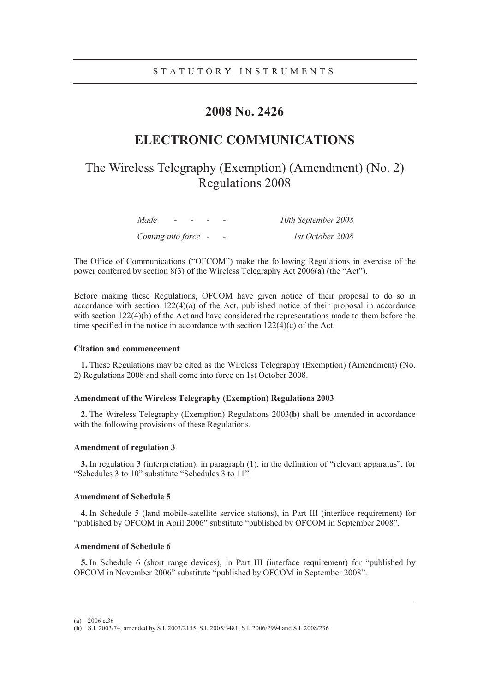### **2008 No. 2426**

## **ELECTRONIC COMMUNICATIONS**

## The Wireless Telegraphy (Exemption) (Amendment) (No. 2) Regulations 2008

| Made<br>$\overline{\phantom{0}}$ | $\overline{\phantom{a}}$ |                          | 10th September 2008 |
|----------------------------------|--------------------------|--------------------------|---------------------|
| Coming into force -              |                          | $\overline{\phantom{0}}$ | 1st October 2008    |

The Office of Communications ("OFCOM") make the following Regulations in exercise of the power conferred by section 8(3) of the Wireless Telegraphy Act 2006(**a**) (the "Act").

Before making these Regulations, OFCOM have given notice of their proposal to do so in accordance with section 122(4)(a) of the Act, published notice of their proposal in accordance with section 122(4)(b) of the Act and have considered the representations made to them before the time specified in the notice in accordance with section 122(4)(c) of the Act.

#### **Citation and commencement**

**1.** These Regulations may be cited as the Wireless Telegraphy (Exemption) (Amendment) (No. 2) Regulations 2008 and shall come into force on 1st October 2008.

### **Amendment of the Wireless Telegraphy (Exemption) Regulations 2003**

**2.** The Wireless Telegraphy (Exemption) Regulations 2003(**b**) shall be amended in accordance with the following provisions of these Regulations.

#### **Amendment of regulation 3**

**3.** In regulation 3 (interpretation), in paragraph (1), in the definition of "relevant apparatus", for "Schedules 3 to 10" substitute "Schedules 3 to 11".

#### **Amendment of Schedule 5**

**4.** In Schedule 5 (land mobile-satellite service stations), in Part III (interface requirement) for "published by OFCOM in April 2006" substitute "published by OFCOM in September 2008".

#### **Amendment of Schedule 6**

**5.** In Schedule 6 (short range devices), in Part III (interface requirement) for "published by OFCOM in November 2006" substitute "published by OFCOM in September 2008".

(**a**) 2006 c.36

-

<sup>(</sup>**b**) S.I. 2003/74, amended by S.I. 2003/2155, S.I. 2005/3481, S.I. 2006/2994 and S.I. 2008/236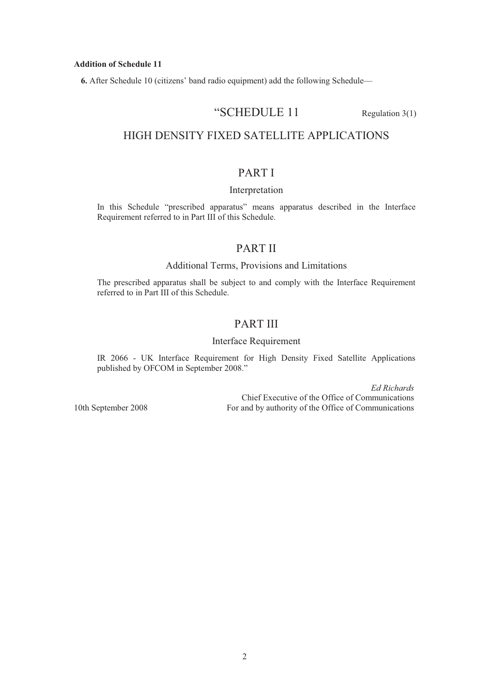#### **Addition of Schedule 11**

**6.** After Schedule 10 (citizens' band radio equipment) add the following Schedule—

### "SCHEDULE 11 Regulation 3(1)

### HIGH DENSITY FIXED SATELLITE APPLICATIONS

### PART I

### Interpretation

In this Schedule "prescribed apparatus" means apparatus described in the Interface Requirement referred to in Part III of this Schedule.

### PART II

### Additional Terms, Provisions and Limitations

The prescribed apparatus shall be subject to and comply with the Interface Requirement referred to in Part III of this Schedule.

### PART III

### Interface Requirement

IR 2066 - UK Interface Requirement for High Density Fixed Satellite Applications published by OFCOM in September 2008."

*Ed Richards* Chief Executive of the Office of Communications 10th September 2008 For and by authority of the Office of Communications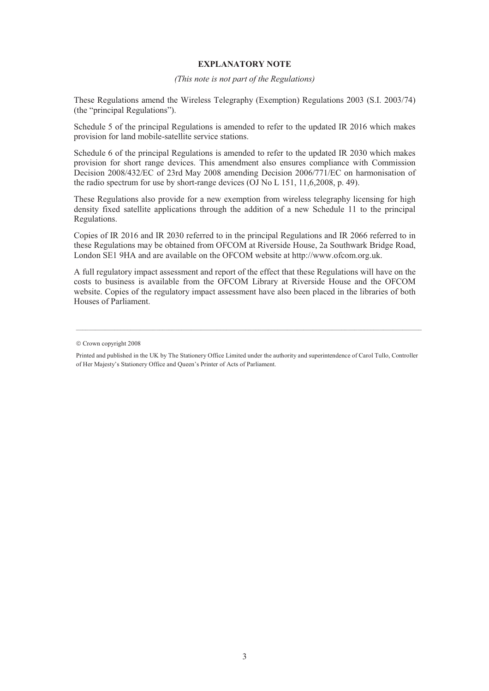#### **EXPLANATORY NOTE**

*(This note is not part of the Regulations)* 

These Regulations amend the Wireless Telegraphy (Exemption) Regulations 2003 (S.I. 2003/74) (the "principal Regulations").

Schedule 5 of the principal Regulations is amended to refer to the updated IR 2016 which makes provision for land mobile-satellite service stations.

Schedule 6 of the principal Regulations is amended to refer to the updated IR 2030 which makes provision for short range devices. This amendment also ensures compliance with Commission Decision 2008/432/EC of 23rd May 2008 amending Decision 2006/771/EC on harmonisation of the radio spectrum for use by short-range devices (OJ No L 151, 11,6,2008, p. 49).

These Regulations also provide for a new exemption from wireless telegraphy licensing for high density fixed satellite applications through the addition of a new Schedule 11 to the principal Regulations.

Copies of IR 2016 and IR 2030 referred to in the principal Regulations and IR 2066 referred to in these Regulations may be obtained from OFCOM at Riverside House, 2a Southwark Bridge Road, London SE1 9HA and are available on the OFCOM website at http://www.ofcom.org.uk.

A full regulatory impact assessment and report of the effect that these Regulations will have on the costs to business is available from the OFCOM Library at Riverside House and the OFCOM website. Copies of the regulatory impact assessment have also been placed in the libraries of both Houses of Parliament.

<sup>©</sup> Crown copyright 2008

Printed and published in the UK by The Stationery Office Limited under the authority and superintendence of Carol Tullo, Controller of Her Majesty's Stationery Office and Queen's Printer of Acts of Parliament.